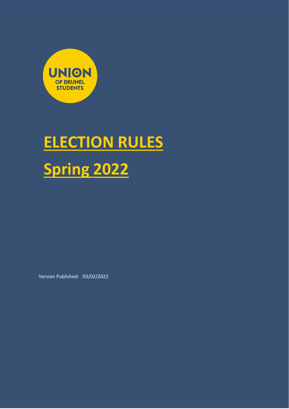

# **ELECTION RULES Spring 2022**

Version Published: 03/02/2022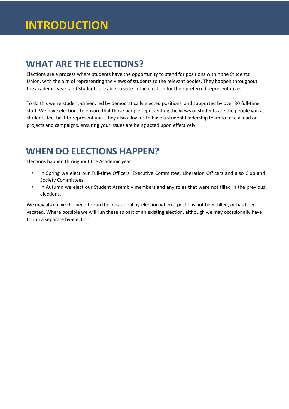# **INTRODUCTION**

# **WHAT ARE THE ELECTIONS?**

Elections are a process where students have the opportunity to stand for positions within the Students' Union, with the aim of representing the views of students to the relevant bodies. They happen throughout the academic year, and Students are able to vote in the election for their preferred representatives.

To do this we're student-driven, led by democratically elected positions, and supported by over 30 full-time staff. We have elections to ensure that those people representing the views of students are the people you as students feel best to represent you. They also allow us to have a student leadership team to take a lead on projects and campaigns, ensuring your issues are being acted upon effectively.

### **WHEN DO ELECTIONS HAPPEN?**

Elections happen throughout the Academic year:

- In Spring we elect our Full-time Officers, Executive Committee, Liberation Officers and also Club and Society Committees
- In Autumn we elect our Student Assembly members and any roles that were not filled in the previous elections.

We may also have the need to run the occasional by-election when a post has not been filled, or has been vacated. Where possible we will run these as part of an existing election, although we may occasionally have to run a separate by-election.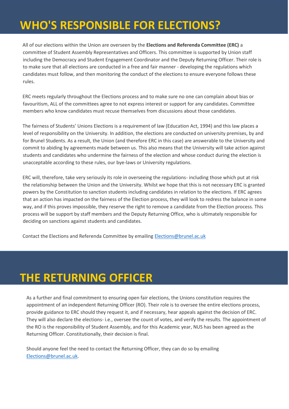# **WHO'S RESPONSIBLE FOR ELECTIONS?**

All of our elections within the Union are overseen by the **Elections and Referenda Committee (ERC)** a committee of Student Assembly Representatives and Officers. This committee is supported by Union staff including the Democracy and Student Engagement Coordinator and the Deputy Returning Officer. Their role is to make sure that all elections are conducted in a free and fair manner - developing the regulations which candidates must follow, and then monitoring the conduct of the elections to ensure everyone follows these rules.

ERC meets regularly throughout the Elections process and to make sure no one can complain about bias or favouritism, ALL of the committees agree to not express interest or support for any candidates. Committee members who know candidates must recuse themselves from discussions about those candidates.

The fairness of Students' Unions Elections is a requirement of law (Education Act, 1994) and this law places a level of responsibility on the University. In addition, the elections are conducted on university premises, by and for Brunel Students. As a result, the Union (and therefore ERC in this case) are answerable to the University and commit to abiding by agreements made between us. This also means that the University will take action against students and candidates who undermine the fairness of the election and whose conduct during the election is unacceptable according to these rules, our bye-laws or University regulations.

ERC will, therefore, take very seriously its role in overseeing the regulations- including those which put at risk the relationship between the Union and the University. Whilst we hope that this is not necessary ERC is granted powers by the Constitution to sanction students including candidates in relation to the elections. If ERC agrees that an action has impacted on the fairness of the Election process, they will look to redress the balance in some way, and if this proves impossible, they reserve the right to remove a candidate from the Election process. This process will be support by staff members and the Deputy Returning Office, who is ultimately responsible for deciding on sanctions against students and candidates.

Contact the Elections and Referenda Committee by emailing Elections@brunel.ac.uk

# **THE RETURNING OFFICER**

As a further and final commitment to ensuring open fair elections, the Unions constitution requires the appointment of an independent Returning Officer (RO). Their role is to oversee the entire elections process, provide guidance to ERC should they request it, and if necessary, hear appeals against the decision of ERC. They will also declare the elections- i.e., oversee the count of votes, and verify the results. The appointment of the RO is the responsibility of Student Assembly, and for this Academic year, NUS has been agreed as the Returning Officer. Constitutionally, their decision is final.

Should anyone feel the need to contact the Returning Officer, they can do so by emailing Elections@brunel.ac.uk.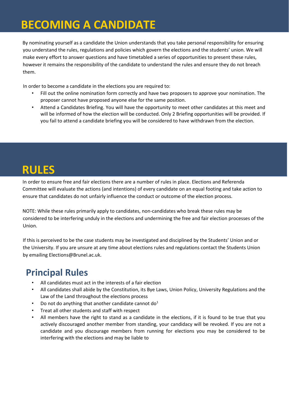# **BECOMING A CANDIDATE**

By nominating yourself as a candidate the Union understands that you take personal responsibility for ensuring you understand the rules, regulations and policies which govern the elections and the students' union. We will make every effort to answer questions and have timetabled a series of opportunities to present these rules, however it remains the responsibility of the candidate to understand the rules and ensure they do not breach them.

In order to become a candidate in the elections you are required to:

- Fill out the online nomination form correctly and have two proposers to approve your nomination. The proposer cannot have proposed anyone else for the same position.
- Attend a Candidates Briefing. You will have the opportunity to meet other candidates at this meet and will be informed of how the election will be conducted. Only 2 Briefing opportunities will be provided. If you fail to attend a candidate briefing you will be considered to have withdrawn from the election.

# **RULES**

In order to ensure free and fair elections there are a number of rules in place. Elections and Referenda Committee will evaluate the actions (and intentions) of every candidate on an equal footing and take action to ensure that candidates do not unfairly influence the conduct or outcome of the election process.

NOTE: While these rules primarily apply to candidates, non-candidates who break these rules may be considered to be interfering unduly in the elections and undermining the free and fair election processes of the Union.

If this is perceived to be the case students may be investigated and disciplined by the Students' Union and or the University. If you are unsure at any time about elections rules and regulations contact the Students Union by emailing Elections@Brunel.ac.uk.

# **Principal Rules**

- All candidates must act in the interests of a fair election
- All candidates shall abide by the Constitution, its Bye Laws, Union Policy, University Regulations and the Law of the Land throughout the elections process
- Do not do anything that another candidate cannot do<sup>1</sup>
- Treat all other students and staff with respect
- All members have the right to stand as a candidate in the elections, if it is found to be true that you actively discouraged another member from standing, your candidacy will be revoked. If you are not a candidate and you discourage members from running for elections you may be considered to be interfering with the elections and may be liable to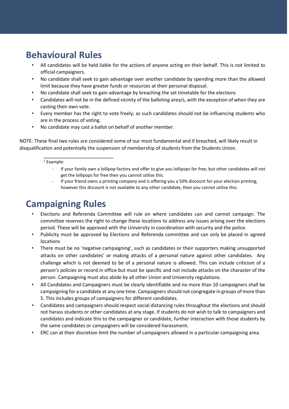### **Behavioural Rules**

- All candidates will be held liable for the actions of anyone acting on their behalf. This is not limited to official campaigners.
- No candidate shall seek to gain advantage over another candidate by spending more than the allowed limit because they have greater funds or resources at their personal disposal.
- No candidate shall seek to gain advantage by breaching the set timetable for the elections
- Candidates will not be in the defined vicinity of the balloting area/s, with the exception of when they are casting their own vote.
- Every member has the right to vote freely; as such candidates should not be influencing students who are in the process of voting.
- No candidate may cast a ballot on behalf of another member.

NOTE: These final two rules are considered some of our most fundamental and if breached, will likely result in disqualification and potentially the suspension of membership of students from the Students Union.

#### $1$  Example:

- If your family own a lollipop factory and offer to give you lollipops for free, but other candidates will not get the lollipops for free then you cannot utilise this.
- If your friend owns a printing company and is offering you a 50% discount for your election printing, however this discount is not available to any other candidate, then you cannot utilise this.

### **Campaigning Rules**

- Elections and Referenda Committee will rule on where candidates can and cannot campaign. The committee reserves the right to change these locations to address any issues arising over the elections period. These will be approved with the University in coordination with security and the police.
- Publicity must be approved by Elections and Referenda committee and can only be placed in agreed locations
- There must be no 'negative campaigning', such as candidates or their supporters making unsupported attacks on other candidates' or making attacks of a personal nature against other candidates. Any challenge which is not deemed to be of a personal nature is allowed. This can include criticism of a person's policies or record in office but must be specific and not include attacks on the character of the person. Campaigning must also abide by all other Union and University regulations.
- All Candidates and Campaigners must be clearly identifiable and no more than 10 campaigners shall be campaigning for a candidate at any one time. Campaigners should not congregate in groups of more than 5. This includes groups of campaigners for different candidates.
- Candidates and campaigners should respect social distancing rules throughout the elections and should not harass students or other candidates at any stage. If students do not wish to talk to campaigners and candidates and indicate this to the campaigner or candidate, further interaction with those students by the same candidates or campaigners will be considered harassment.
- ERC can at their discretion limit the number of campaigners allowed in a particular campaigning area.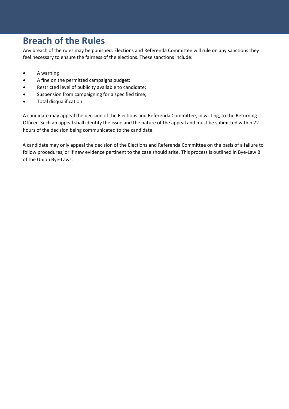# **Breach of the Rules**

Any breach of the rules may be punished. Elections and Referenda Committee will rule on any sanctions they feel necessary to ensure the fairness of the elections. These sanctions include:

- A warning
- A fine on the permitted campaigns budget;
- Restricted level of publicity available to candidate;
- Suspension from campaigning for a specified time;
- Total disqualification

A candidate may appeal the decision of the Elections and Referenda Committee, in writing, to the Returning Officer. Such an appeal shall identify the issue and the nature of the appeal and must be submitted within 72 hours of the decision being communicated to the candidate.

A candidate may only appeal the decision of the Elections and Referenda Committee on the basis of a failure to follow procedures, or if new evidence pertinent to the case should arise. This process is outlined in Bye-Law B of the Union Bye-Laws.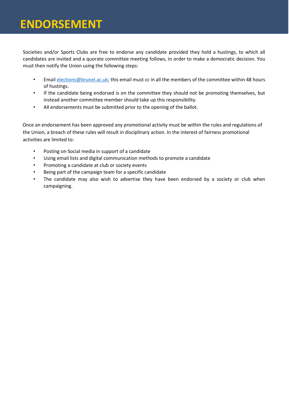# **ENDORSEMENT ENDORSEMENT**

Societies and/or Sports Clubs are free to endorse any candidate provided they hold a hustings, to which all candidates are invited and a quorate committee meeting follows, in order to make a democratic decision. You must then notify the Union using the following steps:

- Email [elections@brunel.ac.uk;](mailto:elections@brunel.ac.uk) this email must cc in all the members of the committee within 48 hours of hustings.
- If the candidate being endorsed is on the committee they should not be promoting themselves, but instead another committee member should take up this responsibility.
- All endorsements must be submitted prior to the opening of the ballot.

Once an endorsement has been approved any promotional activity must be within the rules and regulations of the Union, a breach of these rules will result in disciplinary action. In the interest of fairness promotional activities are limited to:

- Posting on Social media in support of a candidate
- Using email lists and digital communication methods to promote a candidate
- Promoting a candidate at club or society events
- Being part of the campaign team for a specific candidate
- The candidate may also wish to advertise they have been endorsed by a society or club when campaigning.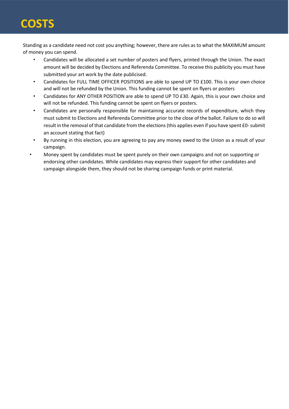# **COSTS**

Standing as a candidate need not cost you anything; however, there are rules as to what the MAXIMUM amount of money you can spend.

- Candidates will be allocated a set number of posters and flyers, printed through the Union. The exact amount will be decided by Elections and Referenda Committee. To receive this publicity you must have submitted your art work by the date publicised.
- Candidates for FULL TIME OFFICER POSITIONS are able to spend UP TO £100. This is your own choice and will not be refunded by the Union. This funding cannot be spent on flyers or posters
- Candidates for ANY OTHER POSITION are able to spend UP TO £30. Again, this is your own choice and will not be refunded. This funding cannot be spent on flyers or posters.
- Candidates are personally responsible for maintaining accurate records of expenditure, which they must submit to Elections and Referenda Committee prior to the close of the ballot. Failure to do so will result in the removal of that candidate from the elections (this applies even if you have spent £0-submit an account stating that fact)
- By running in this election, you are agreeing to pay any money owed to the Union as a result of your campaign.
- Money spent by candidates must be spent purely on their own campaigns and not on supporting or endorsing other candidates. While candidates may express their support for other candidates and campaign alongside them, they should not be sharing campaign funds or print material.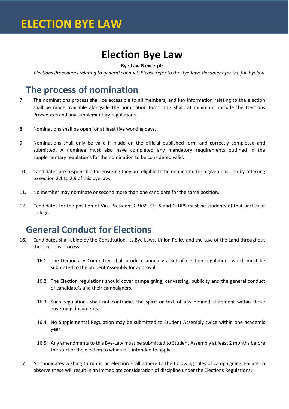# **Election Bye Law**

#### **Bye-Law B excerpt:**

*Elections Procedures relating to general conduct. Please refer to the Bye-laws document for the full Byelaw* 

#### **The process of nomination**

- 7. The nominations process shall be accessible to all members, and key information relating to the election shall be made available alongside the nomination form. This shall, at minimum, include the Elections Procedures and any supplementary regulations.
- 8. Nominations shall be open for at least five working days.
- 9. Nominations shall only be valid if made on the official published form and correctly completed and submitted. A nominee must also have completed any mandatory requirements outlined in the supplementary regulations for the nomination to be considered valid.
- 10. Candidates are responsible for ensuring they are eligible to be nominated for a given position by referring to section 2.1 to 2.9 of this bye law.
- 11. No member may nominate or second more than one candidate for the same position.
- 12. Candidates for the position of Vice President CBASS, CHLS and CEDPS must be students of that particular college.

#### **General Conduct for Elections**

- 16. Candidates shall abide by the Constitution, its Bye Laws, Union Policy and the Law of the Land throughout the elections process.
	- 16.1 The Democracy Committee shall produce annually a set of election regulations which must be submitted to the Student Assembly for approval.
	- 16.2 The Election regulations should cover campaigning, canvassing, publicity and the general conduct of candidate's and their campaigners.
	- 16.3 Such regulations shall not contradict the spirit or text of any defined statement within these governing documents.
	- 16.4 No Supplemental Regulation may be submitted to Student Assembly twice within one academic year.
	- 16.5 Any amendments to this Bye-Law must be submitted to Student Assembly at least 2 months before the start of the election to which it is intended to apply.
- 17. All candidates wishing to run in an election shall adhere to the following rules of campaigning. Failure to observe these will result in an immediate consideration of discipline under the Elections Regulations: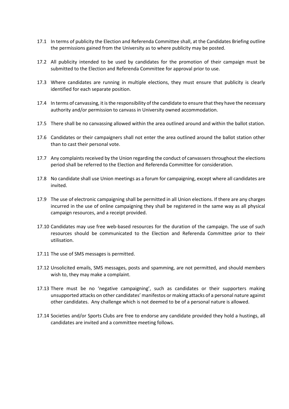- 17.1 In terms of publicity the Election and Referenda Committee shall, at the Candidates Briefing outline the permissions gained from the University as to where publicity may be posted.
- 17.2 All publicity intended to be used by candidates for the promotion of their campaign must be submitted to the Election and Referenda Committee for approval prior to use.
- 17.3 Where candidates are running in multiple elections, they must ensure that publicity is clearly identified for each separate position.
- 17.4 In terms of canvassing, it is the responsibility of the candidate to ensure that they have the necessary authority and/or permission to canvass in University owned accommodation.
- 17.5 There shall be no canvassing allowed within the area outlined around and within the ballot station.
- 17.6 Candidates or their campaigners shall not enter the area outlined around the ballot station other than to cast their personal vote.
- 17.7 Any complaints received by the Union regarding the conduct of canvassers throughout the elections period shall be referred to the Election and Referenda Committee for consideration.
- 17.8 No candidate shall use Union meetings as a forum for campaigning, except where all candidates are invited.
- 17.9 The use of electronic campaigning shall be permitted in all Union elections. If there are any charges incurred in the use of online campaigning they shall be registered in the same way as all physical campaign resources, and a receipt provided.
- 17.10 Candidates may use free web-based resources for the duration of the campaign. The use of such resources should be communicated to the Election and Referenda Committee prior to their utilisation.
- 17.11 The use of SMS messages is permitted.
- 17.12 Unsolicited emails, SMS messages, posts and spamming, are not permitted, and should members wish to, they may make a complaint.
- 17.13 There must be no 'negative campaigning', such as candidates or their supporters making unsupported attacks on other candidates' manifestos or making attacks of a personal nature against other candidates. Any challenge which is not deemed to be of a personal nature is allowed.
- 17.14 Societies and/or Sports Clubs are free to endorse any candidate provided they hold a hustings, all candidates are invited and a committee meeting follows.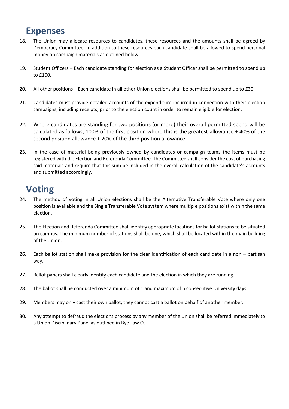#### **Expenses**

- 18. The Union may allocate resources to candidates, these resources and the amounts shall be agreed by Democracy Committee. In addition to these resources each candidate shall be allowed to spend personal money on campaign materials as outlined below.
- 19. Student Officers Each candidate standing for election as a Student Officer shall be permitted to spend up to £100.
- 20. All other positions Each candidate in all other Union elections shall be permitted to spend up to £30.
- 21. Candidates must provide detailed accounts of the expenditure incurred in connection with their election campaigns, including receipts, prior to the election count in order to remain eligible for election.
- 22. Where candidates are standing for two positions (or more) their overall permitted spend will be calculated as follows; 100% of the first position where this is the greatest allowance + 40% of the second position allowance + 20% of the third position allowance.
- 23. In the case of material being previously owned by candidates or campaign teams the items must be registered with the Election and Referenda Committee. The Committee shall consider the cost of purchasing said materials and require that this sum be included in the overall calculation of the candidate's accounts and submitted accordingly.

### **Voting**

- 24. The method of voting in all Union elections shall be the Alternative Transferable Vote where only one position is available and the Single Transferable Vote system where multiple positions exist within the same election.
- 25. The Election and Referenda Committee shall identify appropriate locations for ballot stations to be situated on campus. The minimum number of stations shall be one, which shall be located within the main building of the Union.
- 26. Each ballot station shall make provision for the clear identification of each candidate in a non partisan way.
- 27. Ballot papers shall clearly identify each candidate and the election in which they are running.
- 28. The ballot shall be conducted over a minimum of 1 and maximum of 5 consecutive University days.
- 29. Members may only cast their own ballot, they cannot cast a ballot on behalf of another member.
- 30. Any attempt to defraud the elections process by any member of the Union shall be referred immediately to a Union Disciplinary Panel as outlined in Bye Law O.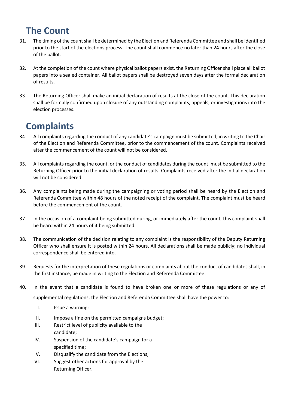# **The Count**

- 31. The timing of the count shall be determined by the Election and Referenda Committee and shall be identified prior to the start of the elections process. The count shall commence no later than 24 hours after the close of the ballot.
- 32. At the completion of the count where physical ballot papers exist, the Returning Officer shall place all ballot papers into a sealed container. All ballot papers shall be destroyed seven days after the formal declaration of results.
- 33. The Returning Officer shall make an initial declaration of results at the close of the count. This declaration shall be formally confirmed upon closure of any outstanding complaints, appeals, or investigations into the election processes.

# **Complaints**

- 34. All complaints regarding the conduct of any candidate's campaign must be submitted, in writing to the Chair of the Election and Referenda Committee, prior to the commencement of the count. Complaints received after the commencement of the count will not be considered.
- 35. All complaints regarding the count, or the conduct of candidates during the count, must be submitted to the Returning Officer prior to the initial declaration of results. Complaints received after the initial declaration will not be considered.
- 36. Any complaints being made during the campaigning or voting period shall be heard by the Election and Referenda Committee within 48 hours of the noted receipt of the complaint. The complaint must be heard before the commencement of the count.
- 37. In the occasion of a complaint being submitted during, or immediately after the count, this complaint shall be heard within 24 hours of it being submitted.
- 38. The communication of the decision relating to any complaint is the responsibility of the Deputy Returning Officer who shall ensure it is posted within 24 hours. All declarations shall be made publicly; no individual correspondence shall be entered into.
- 39. Requests for the interpretation of these regulations or complaints about the conduct of candidates shall, in the first instance, be made in writing to the Election and Referenda Committee.
- 40. In the event that a candidate is found to have broken one or more of these regulations or any of supplemental regulations, the Election and Referenda Committee shall have the power to:
	- I. Issue a warning;
	- II. Impose a fine on the permitted campaigns budget;
	- III. Restrict level of publicity available to the candidate;
	- IV. Suspension of the candidate's campaign for a specified time;
	- V. Disqualify the candidate from the Elections;
	- VI. Suggest other actions for approval by the Returning Officer.